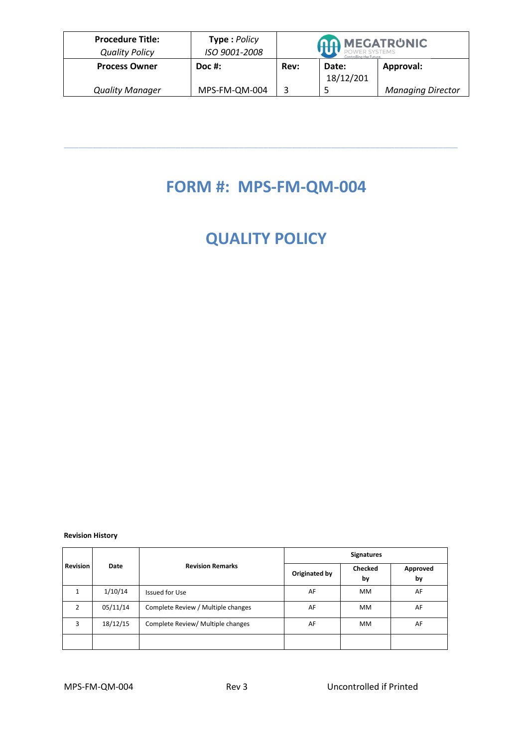| <b>Procedure Title:</b><br><b>Quality Policy</b> | Type: Policy<br>ISO 9001-2008 | <b>AA MEGATRUNIC</b><br>POWER SYSTEMS<br>Controlling the Futur |                    |                          |
|--------------------------------------------------|-------------------------------|----------------------------------------------------------------|--------------------|--------------------------|
| <b>Process Owner</b>                             | $Doc$ #:                      | Rev:                                                           | Date:<br>18/12/201 | Approval:                |
| <b>Quality Manager</b>                           | MPS-FM-QM-004                 |                                                                |                    | <b>Managing Director</b> |

## **FORM #: MPS-FM-QM-004**

\_\_\_\_\_\_\_\_\_\_\_\_\_\_\_\_\_\_\_\_\_\_\_\_\_\_\_\_\_\_\_\_\_\_\_\_\_\_\_\_\_\_\_\_\_\_\_\_\_\_\_\_\_\_\_\_\_\_\_\_\_\_\_\_\_\_\_\_\_\_\_\_\_\_\_\_\_\_\_\_\_

## **QUALITY POLICY**

## **Revision History**

| <b>Revision</b><br>Date |                         |                                    | <b>Signatures</b>    |                |    |  |
|-------------------------|-------------------------|------------------------------------|----------------------|----------------|----|--|
|                         | <b>Revision Remarks</b> | Originated by                      | <b>Checked</b><br>by | Approved<br>by |    |  |
| $\mathbf{1}$            | 1/10/14                 | Issued for Use                     | AF                   | <b>MM</b>      | AF |  |
| $\mathcal{P}$           | 05/11/14                | Complete Review / Multiple changes | AF                   | <b>MM</b>      | AF |  |
| 3                       | 18/12/15                | Complete Review/ Multiple changes  | AF                   | <b>MM</b>      | AF |  |
|                         |                         |                                    |                      |                |    |  |